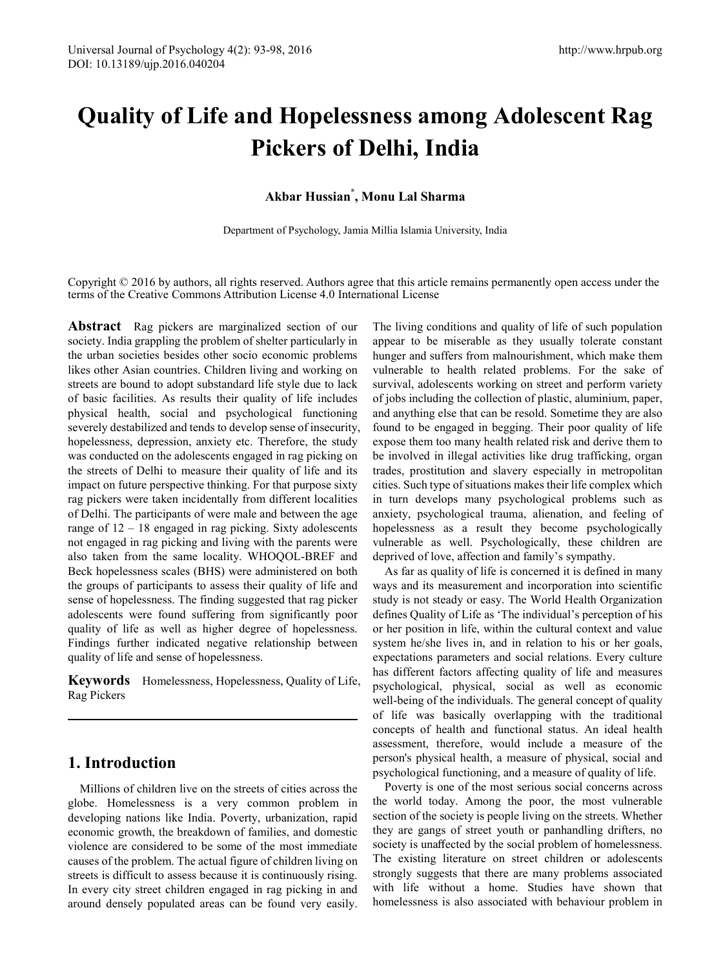# **Quality of Life and Hopelessness among Adolescent Rag Pickers of Delhi, India**

# **Akbar Hussian\* , Monu Lal Sharma**

Department of Psychology, Jamia Millia Islamia University, India

Copyright © 2016 by authors, all rights reserved. Authors agree that this article remains permanently open access under the terms of the Creative Commons Attribution License 4.0 International License

**Abstract** Rag pickers are marginalized section of our society. India grappling the problem of shelter particularly in the urban societies besides other socio economic problems likes other Asian countries. Children living and working on streets are bound to adopt substandard life style due to lack of basic facilities. As results their quality of life includes physical health, social and psychological functioning severely destabilized and tends to develop sense of insecurity, hopelessness, depression, anxiety etc. Therefore, the study was conducted on the adolescents engaged in rag picking on the streets of Delhi to measure their quality of life and its impact on future perspective thinking. For that purpose sixty rag pickers were taken incidentally from different localities of Delhi. The participants of were male and between the age range of 12 – 18 engaged in rag picking. Sixty adolescents not engaged in rag picking and living with the parents were also taken from the same locality. WHOQOL-BREF and Beck hopelessness scales (BHS) were administered on both the groups of participants to assess their quality of life and sense of hopelessness. The finding suggested that rag picker adolescents were found suffering from significantly poor quality of life as well as higher degree of hopelessness. Findings further indicated negative relationship between quality of life and sense of hopelessness.

**Keywords** Homelessness, Hopelessness, Quality of Life, Rag Pickers

# **1. Introduction**

Millions of children live on the streets of cities across the globe. Homelessness is a very common problem in developing nations like India. Poverty, urbanization, rapid economic growth, the breakdown of families, and domestic violence are considered to be some of the most immediate causes of the problem. The actual figure of children living on streets is difficult to assess because it is continuously rising. In every city street children engaged in rag picking in and around densely populated areas can be found very easily.

The living conditions and quality of life of such population appear to be miserable as they usually tolerate constant hunger and suffers from malnourishment, which make them vulnerable to health related problems. For the sake of survival, adolescents working on street and perform variety of jobs including the collection of plastic, aluminium, paper, and anything else that can be resold. Sometime they are also found to be engaged in begging. Their poor quality of life expose them too many health related risk and derive them to be involved in illegal activities like drug trafficking, organ trades, prostitution and slavery especially in metropolitan cities. Such type of situations makes their life complex which in turn develops many psychological problems such as anxiety, psychological trauma, alienation, and feeling of hopelessness as a result they become psychologically vulnerable as well. Psychologically, these children are deprived of love, affection and family's sympathy.

As far as quality of life is concerned it is defined in many ways and its measurement and incorporation into scientific study is not steady or easy. The World Health Organization defines Quality of Life as 'The individual's perception of his or her position in life, within the cultural context and value system he/she lives in, and in relation to his or her goals, expectations parameters and social relations. Every culture has different factors affecting quality of life and measures psychological, physical, social as well as economic well-being of the individuals. The general concept of quality of life was basically overlapping with the traditional concepts of health and functional status. An ideal health assessment, therefore, would include a measure of the person's physical health, a measure of physical, social and psychological functioning, and a measure of quality of life.

Poverty is one of the most serious social concerns across the world today. Among the poor, the most vulnerable section of the society is people living on the streets. Whether they are gangs of street youth or panhandling drifters, no society is unaffected by the social problem of homelessness. The existing literature on street children or adolescents strongly suggests that there are many problems associated with life without a home. Studies have shown that homelessness is also associated with behaviour problem in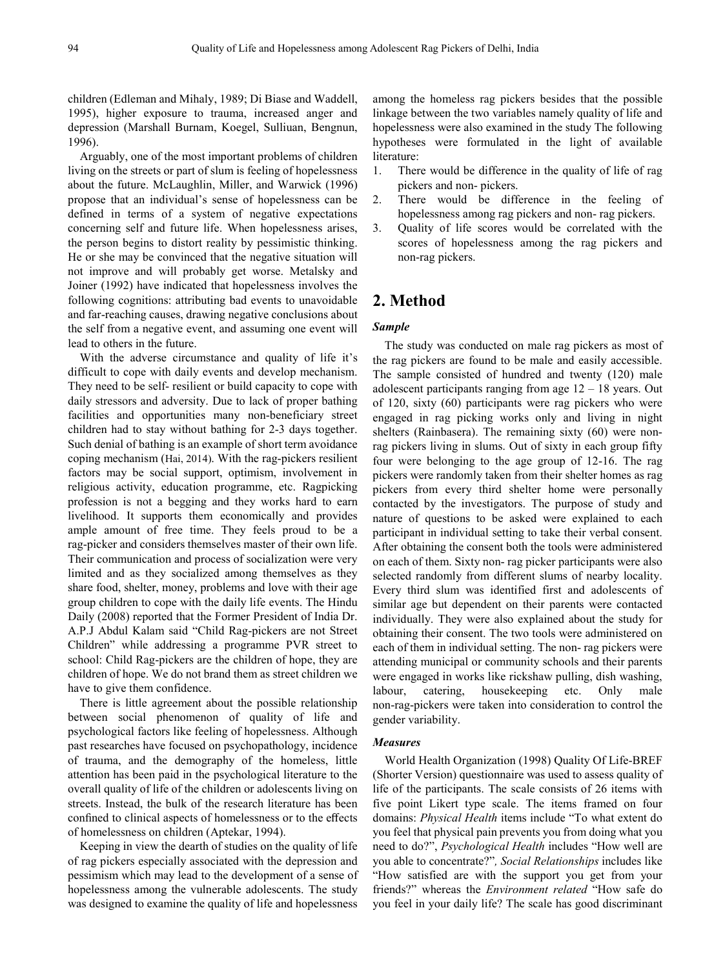children (Edleman and Mihaly, 1989; Di Biase and Waddell, 1995), higher exposure to trauma, increased anger and depression (Marshall Burnam, Koegel, Sulliuan, Bengnun, 1996).

Arguably, one of the most important problems of children living on the streets or part of slum is feeling of hopelessness about the future. McLaughlin, Miller, and Warwick (1996) propose that an individual's sense of hopelessness can be defined in terms of a system of negative expectations concerning self and future life. When hopelessness arises, the person begins to distort reality by pessimistic thinking. He or she may be convinced that the negative situation will not improve and will probably get worse. Metalsky and Joiner (1992) have indicated that hopelessness involves the following cognitions: attributing bad events to unavoidable and far-reaching causes, drawing negative conclusions about the self from a negative event, and assuming one event will lead to others in the future.

With the adverse circumstance and quality of life it's difficult to cope with daily events and develop mechanism. They need to be self- resilient or build capacity to cope with daily stressors and adversity. Due to lack of proper bathing facilities and opportunities many non-beneficiary street children had to stay without bathing for 2-3 days together. Such denial of bathing is an example of short term avoidance coping mechanism (Hai, 2014). With the rag-pickers resilient factors may be social support, optimism, involvement in religious activity, education programme, etc. Ragpicking profession is not a begging and they works hard to earn livelihood. It supports them economically and provides ample amount of free time. They feels proud to be a rag-picker and considers themselves master of their own life. Their communication and process of socialization were very limited and as they socialized among themselves as they share food, shelter, money, problems and love with their age group children to cope with the daily life events. The Hindu Daily (2008) reported that the Former President of India Dr. A.P.J Abdul Kalam said "Child Rag-pickers are not Street Children" while addressing a programme PVR street to school: Child Rag-pickers are the children of hope, they are children of hope. We do not brand them as street children we have to give them confidence.

There is little agreement about the possible relationship between social phenomenon of quality of life and psychological factors like feeling of hopelessness. Although past researches have focused on psychopathology, incidence of trauma, and the demography of the homeless, little attention has been paid in the psychological literature to the overall quality of life of the children or adolescents living on streets. Instead, the bulk of the research literature has been confined to clinical aspects of homelessness or to the effects of homelessness on children (Aptekar, 1994).

Keeping in view the dearth of studies on the quality of life of rag pickers especially associated with the depression and pessimism which may lead to the development of a sense of hopelessness among the vulnerable adolescents. The study was designed to examine the quality of life and hopelessness

among the homeless rag pickers besides that the possible linkage between the two variables namely quality of life and hopelessness were also examined in the study The following hypotheses were formulated in the light of available literature:

- 1. There would be difference in the quality of life of rag pickers and non- pickers.
- 2. There would be difference in the feeling of hopelessness among rag pickers and non- rag pickers.
- 3. Quality of life scores would be correlated with the scores of hopelessness among the rag pickers and non-rag pickers.

# **2. Method**

#### *Sample*

The study was conducted on male rag pickers as most of the rag pickers are found to be male and easily accessible. The sample consisted of hundred and twenty (120) male adolescent participants ranging from age  $12 - 18$  years. Out of 120, sixty (60) participants were rag pickers who were engaged in rag picking works only and living in night shelters (Rainbasera). The remaining sixty (60) were nonrag pickers living in slums. Out of sixty in each group fifty four were belonging to the age group of 12-16. The rag pickers were randomly taken from their shelter homes as rag pickers from every third shelter home were personally contacted by the investigators. The purpose of study and nature of questions to be asked were explained to each participant in individual setting to take their verbal consent. After obtaining the consent both the tools were administered on each of them. Sixty non- rag picker participants were also selected randomly from different slums of nearby locality. Every third slum was identified first and adolescents of similar age but dependent on their parents were contacted individually. They were also explained about the study for obtaining their consent. The two tools were administered on each of them in individual setting. The non- rag pickers were attending municipal or community schools and their parents were engaged in works like rickshaw pulling, dish washing, labour, catering, housekeeping etc. Only male non-rag-pickers were taken into consideration to control the gender variability.

#### *Measures*

World Health Organization (1998) Quality Of Life-BREF (Shorter Version) questionnaire was used to assess quality of life of the participants. The scale consists of 26 items with five point Likert type scale. The items framed on four domains: *Physical Health* items include "To what extent do you feel that physical pain prevents you from doing what you need to do?", *Psychological Health* includes "How well are you able to concentrate?"*, Social Relationships* includes like "How satisfied are with the support you get from your friends?" whereas the *Environment related* "How safe do you feel in your daily life? The scale has good discriminant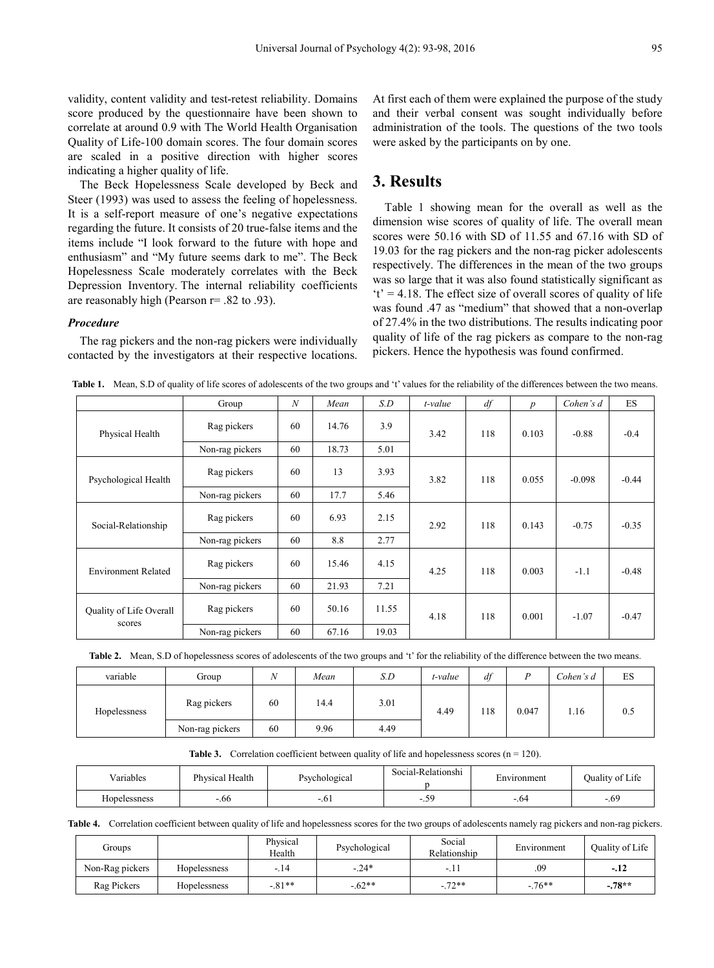validity, content validity and test-retest reliability. Domains score produced by the questionnaire have been shown to correlate at around 0.9 with The World Health Organisation Quality of Life-100 domain scores. The four domain scores are scaled in a positive direction with higher scores indicating a higher quality of life.

The Beck Hopelessness Scale developed by Beck and Steer (1993) was used to assess the feeling of hopelessness. It is a self-report measure of one's negative expectations regarding the future. It consists of 20 true-false items and the items include "I look forward to the future with hope and enthusiasm" and "My future seems dark to me". The Beck Hopelessness Scale moderately correlates with the Beck Depression Inventory. The internal reliability coefficients are reasonably high (Pearson r= .82 to .93).

#### *Procedure*

The rag pickers and the non-rag pickers were individually contacted by the investigators at their respective locations.

At first each of them were explained the purpose of the study and their verbal consent was sought individually before administration of the tools. The questions of the two tools were asked by the participants on by one.

## **3. Results**

Table 1 showing mean for the overall as well as the dimension wise scores of quality of life. The overall mean scores were 50.16 with SD of 11.55 and 67.16 with SD of 19.03 for the rag pickers and the non-rag picker adolescents respectively. The differences in the mean of the two groups was so large that it was also found statistically significant as  $t' = 4.18$ . The effect size of overall scores of quality of life was found .47 as "medium" that showed that a non-overlap of 27.4% in the two distributions. The results indicating poor quality of life of the rag pickers as compare to the non-rag pickers. Hence the hypothesis was found confirmed.

|  |  |  |  |  | Table 1. Mean, S.D of quality of life scores of adolescents of the two groups and 't' values for the reliability of the differences between the two means. |
|--|--|--|--|--|------------------------------------------------------------------------------------------------------------------------------------------------------------|
|--|--|--|--|--|------------------------------------------------------------------------------------------------------------------------------------------------------------|

|                                          | Group           | $\boldsymbol{N}$ | Mean  | S.D   | t-value | df  | p     | Cohen's d | <b>ES</b> |
|------------------------------------------|-----------------|------------------|-------|-------|---------|-----|-------|-----------|-----------|
| Physical Health                          | Rag pickers     | 60               | 14.76 | 3.9   | 3.42    | 118 | 0.103 | $-0.88$   | $-0.4$    |
|                                          | Non-rag pickers | 60               | 18.73 | 5.01  |         |     |       |           |           |
| Psychological Health                     | Rag pickers     | 60               | 13    | 3.93  | 3.82    | 118 | 0.055 | $-0.098$  | $-0.44$   |
|                                          | Non-rag pickers | 60               | 17.7  | 5.46  |         |     |       |           |           |
| Social-Relationship                      | Rag pickers     | 60               | 6.93  | 2.15  | 2.92    | 118 | 0.143 | $-0.75$   | $-0.35$   |
|                                          | Non-rag pickers | 60               | 8.8   | 2.77  |         |     |       |           |           |
| <b>Environment Related</b>               | Rag pickers     | 60               | 15.46 | 4.15  | 4.25    | 118 | 0.003 | $-1.1$    | $-0.48$   |
|                                          | Non-rag pickers | 60               | 21.93 | 7.21  |         |     |       |           |           |
| <b>Ouality of Life Overall</b><br>scores | Rag pickers     | 60               | 50.16 | 11.55 | 4.18    | 118 | 0.001 | $-1.07$   | $-0.47$   |
|                                          | Non-rag pickers | 60               | 67.16 | 19.03 |         |     |       |           |           |

|  | Table 2. Mean, S.D of hopelessness scores of adolescents of the two groups and 't' for the reliability of the difference between the two means. |  |
|--|-------------------------------------------------------------------------------------------------------------------------------------------------|--|
|  |                                                                                                                                                 |  |

| variable     | Group           | N  | Mean | S.D          | t-value | df    |      | Cohen's d | ES |
|--------------|-----------------|----|------|--------------|---------|-------|------|-----------|----|
| Hopelessness | Rag pickers     | 60 | 14.4 | 3.01<br>4.49 | 118     | 0.047 | 1.16 | 0.5       |    |
|              | Non-rag pickers | 60 | 9.96 | 4.49         |         |       |      |           |    |

**Table 3.** Correlation coefficient between quality of life and hopelessness scores  $(n = 120)$ .

| - -<br>Variables | Physical Health<br>Psychological |         | Social-Relationshi | Environment | Quality of Life |
|------------------|----------------------------------|---------|--------------------|-------------|-----------------|
| Hopelessness     | $-00 -$                          | $-.0.1$ | $\sim$<br>$\cdot$  | $-0.04$     | $-.69$          |

**Table 4.** Correlation coefficient between quality of life and hopelessness scores for the two groups of adolescents namely rag pickers and non-rag pickers.

| Groups          |                     | Physical<br>Health | Psychological | Social<br>Relationship | Environment | Quality of Life |
|-----------------|---------------------|--------------------|---------------|------------------------|-------------|-----------------|
| Non-Rag pickers | <b>Hopelessness</b> | $-.14$             | $-24*$        | . .                    | .09         | $-.12$          |
| Rag Pickers     | Hopelessness        | $-81**$            | $-62**$       | $-72**$                | $-76***$    | $-78**$         |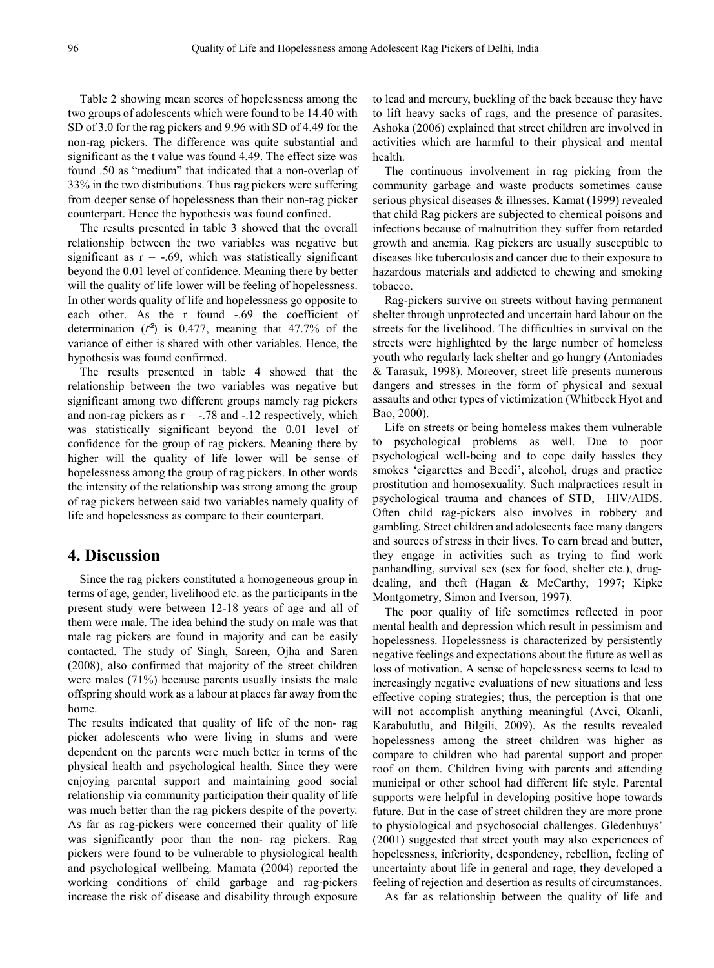Table 2 showing mean scores of hopelessness among the two groups of adolescents which were found to be 14.40 with SD of 3.0 for the rag pickers and 9.96 with SD of 4.49 for the non-rag pickers. The difference was quite substantial and significant as the t value was found 4.49. The effect size was found .50 as "medium" that indicated that a non-overlap of 33% in the two distributions. Thus rag pickers were suffering from deeper sense of hopelessness than their non-rag picker counterpart. Hence the hypothesis was found confined.

The results presented in table 3 showed that the overall relationship between the two variables was negative but significant as  $r = -.69$ , which was statistically significant beyond the 0.01 level of confidence. Meaning there by better will the quality of life lower will be feeling of hopelessness. In other words quality of life and hopelessness go opposite to each other. As the r found -.69 the coefficient of determination (*r²*) is 0.477, meaning that 47.7% of the variance of either is shared with other variables. Hence, the hypothesis was found confirmed.

The results presented in table 4 showed that the relationship between the two variables was negative but significant among two different groups namely rag pickers and non-rag pickers as  $r = -0.78$  and  $-0.12$  respectively, which was statistically significant beyond the 0.01 level of confidence for the group of rag pickers. Meaning there by higher will the quality of life lower will be sense of hopelessness among the group of rag pickers. In other words the intensity of the relationship was strong among the group of rag pickers between said two variables namely quality of life and hopelessness as compare to their counterpart.

# **4. Discussion**

Since the rag pickers constituted a homogeneous group in terms of age, gender, livelihood etc. as the participants in the present study were between 12-18 years of age and all of them were male. The idea behind the study on male was that male rag pickers are found in majority and can be easily contacted. The study of Singh, Sareen, Ojha and Saren (2008), also confirmed that majority of the street children were males (71%) because parents usually insists the male offspring should work as a labour at places far away from the home.

The results indicated that quality of life of the non- rag picker adolescents who were living in slums and were dependent on the parents were much better in terms of the physical health and psychological health. Since they were enjoying parental support and maintaining good social relationship via community participation their quality of life was much better than the rag pickers despite of the poverty. As far as rag-pickers were concerned their quality of life was significantly poor than the non- rag pickers. Rag pickers were found to be vulnerable to physiological health and psychological wellbeing. Mamata (2004) reported the working conditions of child garbage and rag-pickers increase the risk of disease and disability through exposure

to lead and mercury, buckling of the back because they have to lift heavy sacks of rags, and the presence of parasites. Ashoka (2006) explained that street children are involved in activities which are harmful to their physical and mental health.

The continuous involvement in rag picking from the community garbage and waste products sometimes cause serious physical diseases & illnesses. Kamat (1999) revealed that child Rag pickers are subjected to chemical poisons and infections because of malnutrition they suffer from retarded growth and anemia. Rag pickers are usually susceptible to diseases like tuberculosis and cancer due to their exposure to hazardous materials and addicted to chewing and smoking tobacco.

Rag-pickers survive on streets without having permanent shelter through unprotected and uncertain hard labour on the streets for the livelihood. The difficulties in survival on the streets were highlighted by the large number of homeless youth who regularly lack shelter and go hungry (Antoniades & Tarasuk, 1998). Moreover, street life presents numerous dangers and stresses in the form of physical and sexual assaults and other types of victimization (Whitbeck Hyot and Bao, 2000).

Life on streets or being homeless makes them vulnerable to psychological problems as well. Due to poor psychological well-being and to cope daily hassles they smokes 'cigarettes and Beedi', alcohol, drugs and practice prostitution and homosexuality. Such malpractices result in psychological trauma and chances of STD, HIV/AIDS. Often child rag-pickers also involves in robbery and gambling. Street children and adolescents face many dangers and sources of stress in their lives. To earn bread and butter, they engage in activities such as trying to find work panhandling, survival sex (sex for food, shelter etc.), drugdealing, and theft (Hagan & McCarthy, 1997; Kipke Montgometry, Simon and Iverson, 1997).

The poor quality of life sometimes reflected in poor mental health and depression which result in pessimism and hopelessness. Hopelessness is characterized by persistently negative feelings and expectations about the future as well as loss of motivation. A sense of hopelessness seems to lead to increasingly negative evaluations of new situations and less effective coping strategies; thus, the perception is that one will not accomplish anything meaningful (Avci, Okanli, Karabulutlu, and Bilgili, 2009). As the results revealed hopelessness among the street children was higher as compare to children who had parental support and proper roof on them. Children living with parents and attending municipal or other school had different life style. Parental supports were helpful in developing positive hope towards future. But in the case of street children they are more prone to physiological and psychosocial challenges. Gledenhuys' (2001) suggested that street youth may also experiences of hopelessness, inferiority, despondency, rebellion, feeling of uncertainty about life in general and rage, they developed a feeling of rejection and desertion as results of circumstances.

As far as relationship between the quality of life and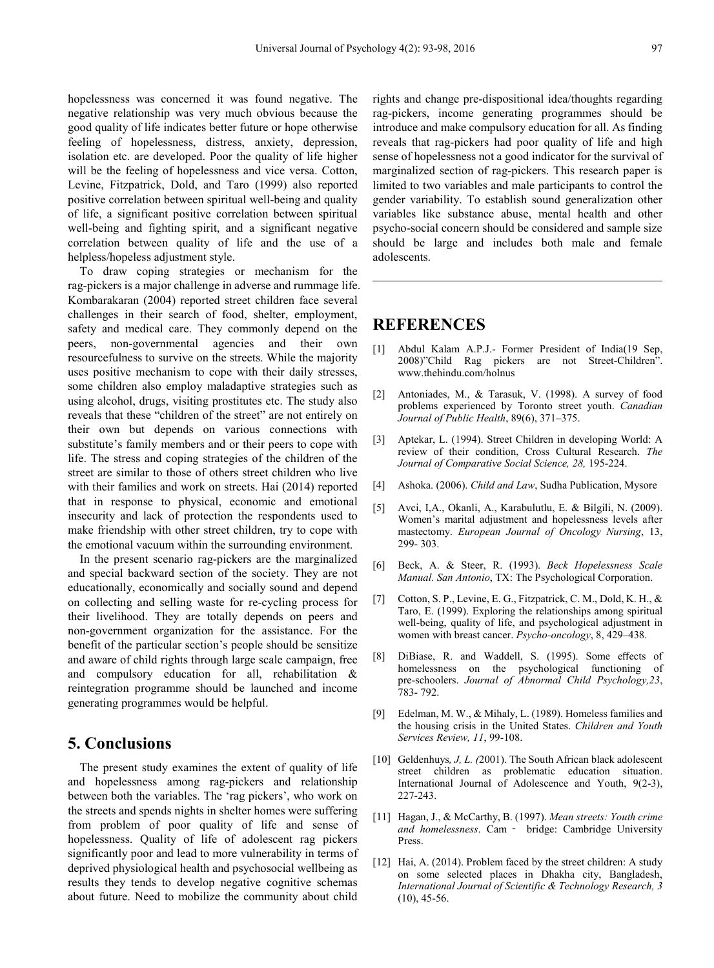hopelessness was concerned it was found negative. The negative relationship was very much obvious because the good quality of life indicates better future or hope otherwise feeling of hopelessness, distress, anxiety, depression, isolation etc. are developed. Poor the quality of life higher will be the feeling of hopelessness and vice versa. Cotton, Levine, Fitzpatrick, Dold, and Taro (1999) also reported positive correlation between spiritual well-being and quality of life, a significant positive correlation between spiritual well-being and fighting spirit, and a significant negative correlation between quality of life and the use of a helpless/hopeless adjustment style.

To draw coping strategies or mechanism for the rag-pickers is a major challenge in adverse and rummage life. Kombarakaran (2004) reported street children face several challenges in their search of food, shelter, employment, safety and medical care. They commonly depend on the peers, non-governmental agencies and their own resourcefulness to survive on the streets. While the majority uses positive mechanism to cope with their daily stresses, some children also employ maladaptive strategies such as using alcohol, drugs, visiting prostitutes etc. The study also reveals that these "children of the street" are not entirely on their own but depends on various connections with substitute's family members and or their peers to cope with life. The stress and coping strategies of the children of the street are similar to those of others street children who live with their families and work on streets. Hai (2014) reported that in response to physical, economic and emotional insecurity and lack of protection the respondents used to make friendship with other street children, try to cope with the emotional vacuum within the surrounding environment.

In the present scenario rag-pickers are the marginalized and special backward section of the society. They are not educationally, economically and socially sound and depend on collecting and selling waste for re-cycling process for their livelihood. They are totally depends on peers and non-government organization for the assistance. For the benefit of the particular section's people should be sensitize and aware of child rights through large scale campaign, free and compulsory education for all, rehabilitation & reintegration programme should be launched and income generating programmes would be helpful.

## **5. Conclusions**

The present study examines the extent of quality of life and hopelessness among rag-pickers and relationship between both the variables. The 'rag pickers', who work on the streets and spends nights in shelter homes were suffering from problem of poor quality of life and sense of hopelessness. Quality of life of adolescent rag pickers significantly poor and lead to more vulnerability in terms of deprived physiological health and psychosocial wellbeing as results they tends to develop negative cognitive schemas about future. Need to mobilize the community about child

rights and change pre-dispositional idea/thoughts regarding rag-pickers, income generating programmes should be introduce and make compulsory education for all. As finding reveals that rag-pickers had poor quality of life and high sense of hopelessness not a good indicator for the survival of marginalized section of rag-pickers. This research paper is limited to two variables and male participants to control the gender variability. To establish sound generalization other variables like substance abuse, mental health and other psycho-social concern should be considered and sample size should be large and includes both male and female adolescents.

# **REFERENCES**

- [1] Abdul Kalam A.P.J.- Former President of India(19 Sep, 2008)"Child Rag pickers are not Street-Children". www.thehindu.com/holnus
- [2] Antoniades, M., & Tarasuk, V. (1998). A survey of food problems experienced by Toronto street youth. *Canadian Journal of Public Health*, 89(6), 371–375.
- [3] Aptekar, L. (1994). Street Children in developing World: A review of their condition, Cross Cultural Research. *The Journal of Comparative Social Science, 28,* 195-224.
- [4] Ashoka. (2006). *Child and Law*, Sudha Publication, Mysore
- [5] Avci, I,A., Okanli, A., Karabulutlu, E. & Bilgili, N. (2009). Women's marital adjustment and hopelessness levels after mastectomy. *European Journal of Oncology Nursing*, 13, 299- 303.
- [6] Beck, A. & Steer, R. (1993). *Beck Hopelessness Scale Manual. San Antonio*, TX: The Psychological Corporation.
- [7] Cotton, S. P., Levine, E. G., Fitzpatrick, C. M., Dold, K. H., & Taro, E. (1999). Exploring the relationships among spiritual well-being, quality of life, and psychological adjustment in women with breast cancer. *Psycho-oncology*, 8, 429–438.
- [8] DiBiase, R. and Waddell, S. (1995). Some effects of homelessness on the psychological functioning of pre-schoolers. *Journal of Abnormal Child Psychology,23*, 783- 792.
- [9] Edelman, M. W., & Mihaly, L. (1989). Homeless families and the housing crisis in the United States. *Children and Youth Services Review, 11*, 99-108.
- [10] Geldenhuys, *J, L. (2001)*. The South African black adolescent street children as problematic education situation. International Journal of Adolescence and Youth, 9(2-3), 227-243.
- [11] Hagan, J., & McCarthy, B. (1997). *Mean streets: Youth crime and homelessness*. Cam‐ bridge: Cambridge University Press.
- [12] Hai, A. (2014). Problem faced by the street children: A study on some selected places in Dhakha city, Bangladesh, *International Journal of Scientific & Technology Research, 3* (10), 45-56.